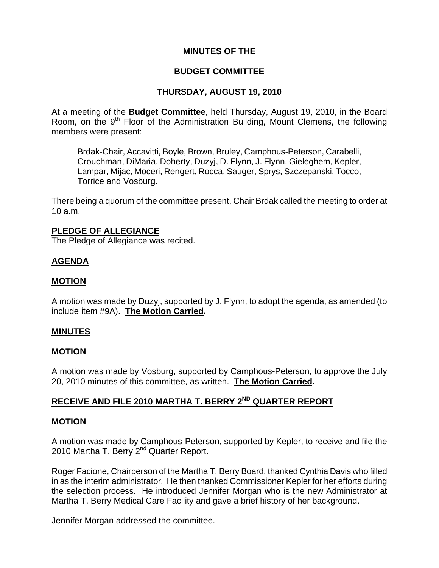# **MINUTES OF THE**

# **BUDGET COMMITTEE**

# **THURSDAY, AUGUST 19, 2010**

At a meeting of the **Budget Committee**, held Thursday, August 19, 2010, in the Board Room, on the  $9<sup>th</sup>$  Floor of the Administration Building, Mount Clemens, the following members were present:

Brdak-Chair, Accavitti, Boyle, Brown, Bruley, Camphous-Peterson, Carabelli, Crouchman, DiMaria, Doherty, Duzyj, D. Flynn, J. Flynn, Gieleghem, Kepler, Lampar, Mijac, Moceri, Rengert, Rocca, Sauger, Sprys, Szczepanski, Tocco, Torrice and Vosburg.

There being a quorum of the committee present, Chair Brdak called the meeting to order at 10 a.m.

#### **PLEDGE OF ALLEGIANCE**

The Pledge of Allegiance was recited.

# **AGENDA**

# **MOTION**

A motion was made by Duzyj, supported by J. Flynn, to adopt the agenda, as amended (to include item #9A). **The Motion Carried.** 

#### **MINUTES**

# **MOTION**

A motion was made by Vosburg, supported by Camphous-Peterson, to approve the July 20, 2010 minutes of this committee, as written. **The Motion Carried.** 

# **RECEIVE AND FILE 2010 MARTHA T. BERRY 2ND QUARTER REPORT**

#### **MOTION**

A motion was made by Camphous-Peterson, supported by Kepler, to receive and file the 2010 Martha T. Berry 2<sup>nd</sup> Quarter Report.

Roger Facione, Chairperson of the Martha T. Berry Board, thanked Cynthia Davis who filled in as the interim administrator. He then thanked Commissioner Kepler for her efforts during the selection process. He introduced Jennifer Morgan who is the new Administrator at Martha T. Berry Medical Care Facility and gave a brief history of her background.

Jennifer Morgan addressed the committee.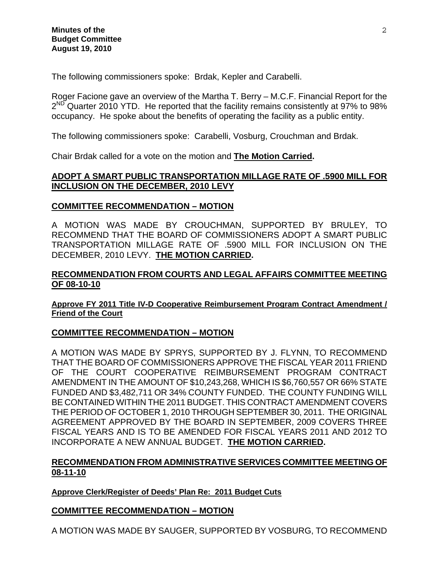The following commissioners spoke: Brdak, Kepler and Carabelli.

Roger Facione gave an overview of the Martha T. Berry – M.C.F. Financial Report for the  $2^{ND}$  Quarter 2010 YTD. He reported that the facility remains consistently at 97% to 98% occupancy. He spoke about the benefits of operating the facility as a public entity.

The following commissioners spoke: Carabelli, Vosburg, Crouchman and Brdak.

Chair Brdak called for a vote on the motion and **The Motion Carried.** 

# **ADOPT A SMART PUBLIC TRANSPORTATION MILLAGE RATE OF .5900 MILL FOR INCLUSION ON THE DECEMBER, 2010 LEVY**

#### **COMMITTEE RECOMMENDATION – MOTION**

A MOTION WAS MADE BY CROUCHMAN, SUPPORTED BY BRULEY, TO RECOMMEND THAT THE BOARD OF COMMISSIONERS ADOPT A SMART PUBLIC TRANSPORTATION MILLAGE RATE OF .5900 MILL FOR INCLUSION ON THE DECEMBER, 2010 LEVY. **THE MOTION CARRIED.**

### **RECOMMENDATION FROM COURTS AND LEGAL AFFAIRS COMMITTEE MEETING OF 08-10-10**

#### **Approve FY 2011 Title IV-D Cooperative Reimbursement Program Contract Amendment / Friend of the Court**

# **COMMITTEE RECOMMENDATION – MOTION**

A MOTION WAS MADE BY SPRYS, SUPPORTED BY J. FLYNN, TO RECOMMEND THAT THE BOARD OF COMMISSIONERS APPROVE THE FISCAL YEAR 2011 FRIEND OF THE COURT COOPERATIVE REIMBURSEMENT PROGRAM CONTRACT AMENDMENT IN THE AMOUNT OF \$10,243,268, WHICH IS \$6,760,557 OR 66% STATE FUNDED AND \$3,482,711 OR 34% COUNTY FUNDED. THE COUNTY FUNDING WILL BE CONTAINED WITHIN THE 2011 BUDGET. THIS CONTRACT AMENDMENT COVERS THE PERIOD OF OCTOBER 1, 2010 THROUGH SEPTEMBER 30, 2011. THE ORIGINAL AGREEMENT APPROVED BY THE BOARD IN SEPTEMBER, 2009 COVERS THREE FISCAL YEARS AND IS TO BE AMENDED FOR FISCAL YEARS 2011 AND 2012 TO INCORPORATE A NEW ANNUAL BUDGET. **THE MOTION CARRIED.** 

# **RECOMMENDATION FROM ADMINISTRATIVE SERVICES COMMITTEE MEETING OF 08-11-10**

**Approve Clerk/Register of Deeds' Plan Re: 2011 Budget Cuts**

# **COMMITTEE RECOMMENDATION – MOTION**

A MOTION WAS MADE BY SAUGER, SUPPORTED BY VOSBURG, TO RECOMMEND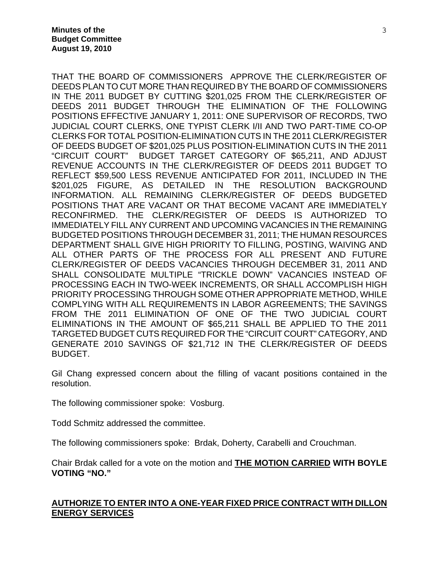THAT THE BOARD OF COMMISSIONERS APPROVE THE CLERK/REGISTER OF DEEDS PLAN TO CUT MORE THAN REQUIRED BY THE BOARD OF COMMISSIONERS IN THE 2011 BUDGET BY CUTTING \$201,025 FROM THE CLERK/REGISTER OF DEEDS 2011 BUDGET THROUGH THE ELIMINATION OF THE FOLLOWING POSITIONS EFFECTIVE JANUARY 1, 2011: ONE SUPERVISOR OF RECORDS, TWO JUDICIAL COURT CLERKS, ONE TYPIST CLERK I/II AND TWO PART-TIME CO-OP CLERKS FOR TOTAL POSITION-ELIMINATION CUTS IN THE 2011 CLERK/REGISTER OF DEEDS BUDGET OF \$201,025 PLUS POSITION-ELIMINATION CUTS IN THE 2011 "CIRCUIT COURT" BUDGET TARGET CATEGORY OF \$65,211, AND ADJUST REVENUE ACCOUNTS IN THE CLERK/REGISTER OF DEEDS 2011 BUDGET TO REFLECT \$59,500 LESS REVENUE ANTICIPATED FOR 2011, INCLUDED IN THE \$201,025 FIGURE, AS DETAILED IN THE RESOLUTION BACKGROUND INFORMATION. ALL REMAINING CLERK/REGISTER OF DEEDS BUDGETED POSITIONS THAT ARE VACANT OR THAT BECOME VACANT ARE IMMEDIATELY RECONFIRMED. THE CLERK/REGISTER OF DEEDS IS AUTHORIZED TO IMMEDIATELY FILL ANY CURRENT AND UPCOMING VACANCIES IN THE REMAINING BUDGETED POSITIONS THROUGH DECEMBER 31, 2011; THE HUMAN RESOURCES DEPARTMENT SHALL GIVE HIGH PRIORITY TO FILLING, POSTING, WAIVING AND ALL OTHER PARTS OF THE PROCESS FOR ALL PRESENT AND FUTURE CLERK/REGISTER OF DEEDS VACANCIES THROUGH DECEMBER 31, 2011 AND SHALL CONSOLIDATE MULTIPLE "TRICKLE DOWN" VACANCIES INSTEAD OF PROCESSING EACH IN TWO-WEEK INCREMENTS, OR SHALL ACCOMPLISH HIGH PRIORITY PROCESSING THROUGH SOME OTHER APPROPRIATE METHOD, WHILE COMPLYING WITH ALL REQUIREMENTS IN LABOR AGREEMENTS; THE SAVINGS FROM THE 2011 ELIMINATION OF ONE OF THE TWO JUDICIAL COURT ELIMINATIONS IN THE AMOUNT OF \$65,211 SHALL BE APPLIED TO THE 2011 TARGETED BUDGET CUTS REQUIRED FOR THE "CIRCUIT COURT" CATEGORY, AND GENERATE 2010 SAVINGS OF \$21,712 IN THE CLERK/REGISTER OF DEEDS BUDGET.

Gil Chang expressed concern about the filling of vacant positions contained in the resolution.

The following commissioner spoke: Vosburg.

Todd Schmitz addressed the committee.

The following commissioners spoke: Brdak, Doherty, Carabelli and Crouchman.

Chair Brdak called for a vote on the motion and **THE MOTION CARRIED WITH BOYLE VOTING "NO."** 

# **AUTHORIZE TO ENTER INTO A ONE-YEAR FIXED PRICE CONTRACT WITH DILLON ENERGY SERVICES**